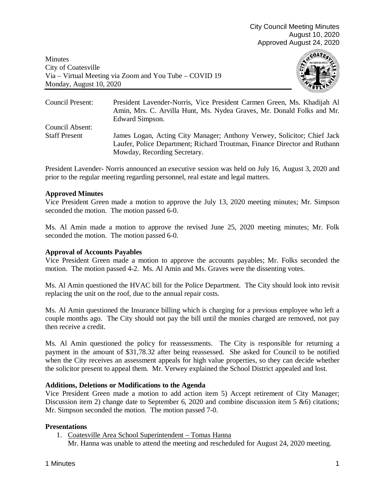Minutes City of Coatesville Via – Virtual Meeting via Zoom and You Tube – COVID 19 Monday, August 10, 2020



| Council Present:     | President Lavender-Norris, Vice President Carmen Green, Ms. Khadijah Al<br>Amin, Mrs. C. Arvilla Hunt, Ms. Nydea Graves, Mr. Donald Folks and Mr.<br>Edward Simpson.                 |
|----------------------|--------------------------------------------------------------------------------------------------------------------------------------------------------------------------------------|
| Council Absent:      |                                                                                                                                                                                      |
| <b>Staff Present</b> | James Logan, Acting City Manager; Anthony Verwey, Solicitor; Chief Jack<br>Laufer, Police Department; Richard Troutman, Finance Director and Ruthann<br>Mowday, Recording Secretary. |

President Lavender- Norris announced an executive session was held on July 16, August 3, 2020 and prior to the regular meeting regarding personnel, real estate and legal matters.

# **Approved Minutes**

Vice President Green made a motion to approve the July 13, 2020 meeting minutes; Mr. Simpson seconded the motion. The motion passed 6-0.

Ms. Al Amin made a motion to approve the revised June 25, 2020 meeting minutes; Mr. Folk seconded the motion. The motion passed 6-0.

## **Approval of Accounts Payables**

Vice President Green made a motion to approve the accounts payables; Mr. Folks seconded the motion. The motion passed 4-2. Ms. Al Amin and Ms. Graves were the dissenting votes.

Ms. Al Amin questioned the HVAC bill for the Police Department. The City should look into revisit replacing the unit on the roof, due to the annual repair costs.

Ms. Al Amin questioned the Insurance billing which is charging for a previous employee who left a couple months ago. The City should not pay the bill until the monies charged are removed, not pay then receive a credit.

Ms. Al Amin questioned the policy for reassessments. The City is responsible for returning a payment in the amount of \$31,78.32 after being reassessed. She asked for Council to be notified when the City receives an assessment appeals for high value properties, so they can decide whether the solicitor present to appeal them. Mr. Verwey explained the School District appealed and lost.

## **Additions, Deletions or Modifications to the Agenda**

Vice President Green made a motion to add action item 5) Accept retirement of City Manager; Discussion item 2) change date to September 6, 2020 and combine discussion item 5 &6) citations; Mr. Simpson seconded the motion. The motion passed 7-0.

## **Presentations**

1. Coatesville Area School Superintendent – Tomas Hanna

Mr. Hanna was unable to attend the meeting and rescheduled for August 24, 2020 meeting.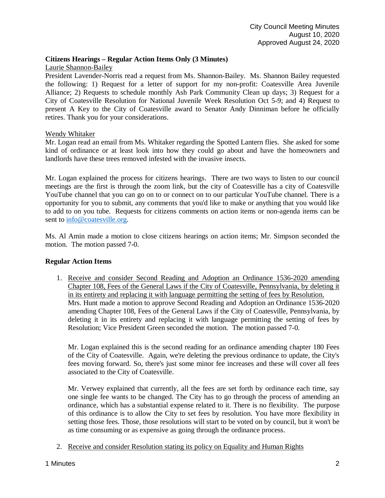# **Citizens Hearings – Regular Action Items Only (3 Minutes)**

# Laurie Shannon-Bailey

President Lavender-Norris read a request from Ms. Shannon-Bailey. Ms. Shannon Bailey requested the following: 1) Request for a letter of support for my non-profit: Coatesville Area Juvenile Alliance; 2) Requests to schedule monthly Ash Park Community Clean up days; 3) Request for a City of Coatesville Resolution for National Juvenile Week Resolution Oct 5-9; and 4) Request to present A Key to the City of Coatesville award to Senator Andy Dinniman before he officially retires. Thank you for your considerations.

# Wendy Whitaker

Mr. Logan read an email from Ms. Whitaker regarding the Spotted Lantern flies. She asked for some kind of ordinance or at least look into how they could go about and have the homeowners and landlords have these trees removed infested with the invasive insects.

Mr. Logan explained the process for citizens hearings. There are two ways to listen to our council meetings are the first is through the zoom link, but the city of Coatesville has a city of Coatesville YouTube channel that you can go on to or connect on to our particular YouTube channel. There is a opportunity for you to submit, any comments that you'd like to make or anything that you would like to add to on you tube. Requests for citizens comments on action items or non-agenda items can be sent to [info@coatesville.org.](mailto:info@coatesville.org)

Ms. Al Amin made a motion to close citizens hearings on action items; Mr. Simpson seconded the motion. The motion passed 7-0.

## **Regular Action Items**

1. Receive and consider Second Reading and Adoption an Ordinance 1536-2020 amending Chapter 108, Fees of the General Laws if the City of Coatesville, Pennsylvania, by deleting it in its entirety and replacing it with language permitting the setting of fees by Resolution. Mrs. Hunt made a motion to approve Second Reading and Adoption an Ordinance 1536-2020 amending Chapter 108, Fees of the General Laws if the City of Coatesville, Pennsylvania, by deleting it in its entirety and replacing it with language permitting the setting of fees by Resolution; Vice President Green seconded the motion. The motion passed 7-0.

Mr. Logan explained this is the second reading for an ordinance amending chapter 180 Fees of the City of Coatesville. Again, we're deleting the previous ordinance to update, the City's fees moving forward. So, there's just some minor fee increases and these will cover all fees associated to the City of Coatesville.

Mr. Verwey explained that currently, all the fees are set forth by ordinance each time, say one single fee wants to be changed. The City has to go through the process of amending an ordinance, which has a substantial expense related to it. There is no flexibility. The purpose of this ordinance is to allow the City to set fees by resolution. You have more flexibility in setting those fees. Those, those resolutions will start to be voted on by council, but it won't be as time consuming or as expensive as going through the ordinance process.

2. Receive and consider Resolution stating its policy on Equality and Human Rights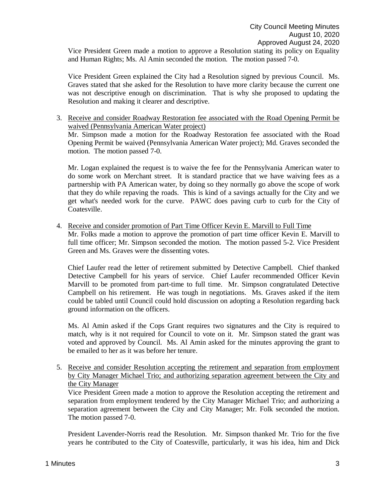Vice President Green made a motion to approve a Resolution stating its policy on Equality and Human Rights; Ms. Al Amin seconded the motion. The motion passed 7-0.

Vice President Green explained the City had a Resolution signed by previous Council. Ms. Graves stated that she asked for the Resolution to have more clarity because the current one was not descriptive enough on discrimination. That is why she proposed to updating the Resolution and making it clearer and descriptive.

3. Receive and consider Roadway Restoration fee associated with the Road Opening Permit be waived (Pennsylvania American Water project)

Mr. Simpson made a motion for the Roadway Restoration fee associated with the Road Opening Permit be waived (Pennsylvania American Water project); Md. Graves seconded the motion. The motion passed 7-0.

Mr. Logan explained the request is to waive the fee for the Pennsylvania American water to do some work on Merchant street. It is standard practice that we have waiving fees as a partnership with PA American water, by doing so they normally go above the scope of work that they do while repaving the roads. This is kind of a savings actually for the City and we get what's needed work for the curve. PAWC does paving curb to curb for the City of Coatesville.

4. Receive and consider promotion of Part Time Officer Kevin E. Marvill to Full Time Mr. Folks made a motion to approve the promotion of part time officer Kevin E. Marvill to full time officer; Mr. Simpson seconded the motion. The motion passed 5-2. Vice President Green and Ms. Graves were the dissenting votes.

Chief Laufer read the letter of retirement submitted by Detective Campbell. Chief thanked Detective Campbell for his years of service. Chief Laufer recommended Officer Kevin Marvill to be promoted from part-time to full time. Mr. Simpson congratulated Detective Campbell on his retirement. He was tough in negotiations. Ms. Graves asked if the item could be tabled until Council could hold discussion on adopting a Resolution regarding back ground information on the officers.

Ms. Al Amin asked if the Cops Grant requires two signatures and the City is required to match, why is it not required for Council to vote on it. Mr. Simpson stated the grant was voted and approved by Council. Ms. Al Amin asked for the minutes approving the grant to be emailed to her as it was before her tenure.

5. Receive and consider Resolution accepting the retirement and separation from employment by City Manager Michael Trio; and authorizing separation agreement between the City and the City Manager

Vice President Green made a motion to approve the Resolution accepting the retirement and separation from employment tendered by the City Manager Michael Trio; and authorizing a separation agreement between the City and City Manager; Mr. Folk seconded the motion. The motion passed 7-0.

President Lavender-Norris read the Resolution. Mr. Simpson thanked Mr. Trio for the five years he contributed to the City of Coatesville, particularly, it was his idea, him and Dick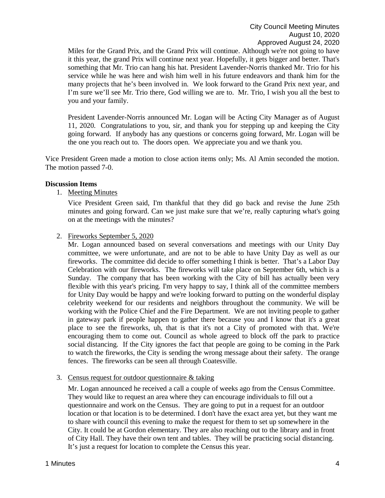Miles for the Grand Prix, and the Grand Prix will continue. Although we're not going to have it this year, the grand Prix will continue next year. Hopefully, it gets bigger and better. That's something that Mr. Trio can hang his hat. President Lavender-Norris thanked Mr. Trio for his service while he was here and wish him well in his future endeavors and thank him for the many projects that he's been involved in. We look forward to the Grand Prix next year, and I'm sure we'll see Mr. Trio there, God willing we are to. Mr. Trio, I wish you all the best to you and your family.

President Lavender-Norris announced Mr. Logan will be Acting City Manager as of August 11, 2020. Congratulations to you, sir, and thank you for stepping up and keeping the City going forward. If anybody has any questions or concerns going forward, Mr. Logan will be the one you reach out to. The doors open. We appreciate you and we thank you.

Vice President Green made a motion to close action items only; Ms. Al Amin seconded the motion. The motion passed 7-0.

#### **Discussion Items**

1. Meeting Minutes

Vice President Green said, I'm thankful that they did go back and revise the June 25th minutes and going forward. Can we just make sure that we're, really capturing what's going on at the meetings with the minutes?

#### 2. Fireworks September 5, 2020

Mr. Logan announced based on several conversations and meetings with our Unity Day committee, we were unfortunate, and are not to be able to have Unity Day as well as our fireworks. The committee did decide to offer something I think is better. That's a Labor Day Celebration with our fireworks. The fireworks will take place on September 6th, which is a Sunday. The company that has been working with the City of bill has actually been very flexible with this year's pricing. I'm very happy to say, I think all of the committee members for Unity Day would be happy and we're looking forward to putting on the wonderful display celebrity weekend for our residents and neighbors throughout the community. We will be working with the Police Chief and the Fire Department. We are not inviting people to gather in gateway park if people happen to gather there because you and I know that it's a great place to see the fireworks, uh, that is that it's not a City of promoted with that. We're encouraging them to come out. Council as whole agreed to block off the park to practice social distancing. If the City ignores the fact that people are going to be coming in the Park to watch the fireworks, the City is sending the wrong message about their safety. The orange fences. The fireworks can be seen all through Coatesville.

3. Census request for outdoor questionnaire & taking

Mr. Logan announced he received a call a couple of weeks ago from the Census Committee. They would like to request an area where they can encourage individuals to fill out a questionnaire and work on the Census. They are going to put in a request for an outdoor location or that location is to be determined. I don't have the exact area yet, but they want me to share with council this evening to make the request for them to set up somewhere in the City. It could be at Gordon elementary. They are also reaching out to the library and in front of City Hall. They have their own tent and tables. They will be practicing social distancing. It's just a request for location to complete the Census this year.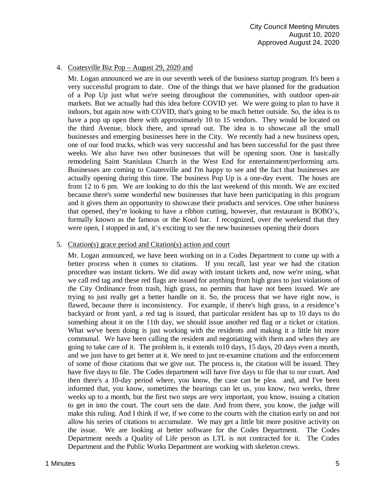# 4. Coatesville Biz Pop – August 29, 2020 and

Mr. Logan announced we are in our seventh week of the business startup program. It's been a very successful program to date. One of the things that we have planned for the graduation of a Pop Up just what we're seeing throughout the communities, with outdoor open-air markets. But we actually had this idea before COVID yet. We were going to plan to have it indoors, but again now with COVID, that's going to be much better outside. So, the idea is to have a pop up open there with approximately 10 to 15 vendors. They would be located on the third Avenue, block there, and spread out. The idea is to showcase all the small businesses and emerging businesses here in the City. We recently had a new business open, one of our food trucks, which was very successful and has been successful for the past three weeks. We also have two other businesses that will be opening soon. One is basically remodeling Saint Stanislaus Church in the West End for entertainment/performing arts. Businesses are coming to Coatesville and I'm happy to see and the fact that businesses are actually opening during this time. The business Pop Up is a one-day event. The hours are from 12 to 6 pm. We are looking to do this the last weekend of this month. We are excited because there's some wonderful new businesses that have been participating in this program and it gives them an opportunity to showcase their products and services. One other business that opened, they're looking to have a ribbon cutting, however, that restaurant is BOBO's, formally known as the famous or the Kool bar. I recognized, over the weekend that they were open, I stopped in and, it's exciting to see the new businesses opening their doors

## 5. Citation(s) grace period and Citation(s) action and court

Mr. Logan announced, we have been working on in a Codes Department to come up with a better process when it comes to citations. If you recall, last year we had the citation procedure was instant tickets. We did away with instant tickets and, now we're using, what we call red tag and these red flags are issued for anything from high grass to just violations of the City Ordinance from trash, high grass, no permits that have not been issued. We are trying to just really get a better handle on it. So, the process that we have right now, is flawed, because there is inconsistency. For example, if there's high grass, in a residence's backyard or front yard, a red tag is issued, that particular resident has up to 10 days to do something about it on the 11th day, we should issue another red flag or a ticket or citation. What we've been doing is just working with the residents and making it a little bit more communal. We have been calling the resident and negotiating with them and when they are going to take care of it. The problem is, it extends to10 days, 15 days, 20 days even a month, and we just have to get better at it. We need to just re-examine citations and the enforcement of some of those citations that we give out. The process is, the citation will be issued. They have five days to file. The Codes department will have five days to file that to our court. And then there's a 10-day period where, you know, the case can be plea. and, and I've been informed that, you know, sometimes the hearings can let us, you know, two weeks, three weeks up to a month, but the first two steps are very important, you know, issuing a citation to get in into the court. The court sets the date. And from there, you know, the judge will make this ruling. And I think if we, if we come to the courts with the citation early on and not allow his series of citations to accumulate. We may get a little bit more positive activity on the issue. We are looking at better software for the Codes Department. The Codes Department needs a Quality of Life person as LTL is not contracted for it. The Codes Department and the Public Works Department are working with skeleton crews.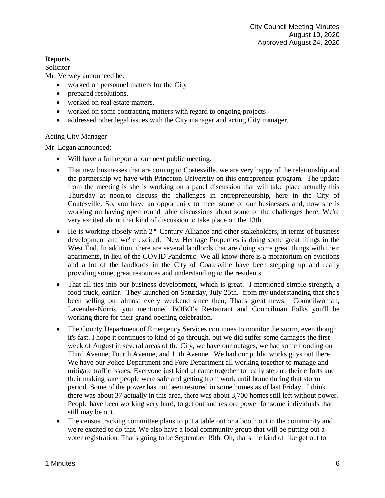# **Reports**

# Solicitor

Mr. Verwey announced he:

- worked on personnel matters for the City
- prepared resolutions.
- worked on real estate matters.
- worked on some contracting matters with regard to ongoing projects
- addressed other legal issues with the City manager and acting City manager.

# Acting City Manager

Mr. Logan announced:

- Will have a full report at our next public meeting.
- That new businesses that are coming to Coatesville, we are very happy of the relationship and the partnership we have with Princeton University on this entrepreneur program. The update from the meeting is she is working on a panel discussion that will take place actually this Thursday at noon.to discuss the challenges in entrepreneurship, here in the City of Coatesville. So, you have an opportunity to meet some of our businesses and, now she is working on having open round table discussions about some of the challenges here. We're very excited about that kind of discussion to take place on the 13th.
- He is working closely with  $2<sup>nd</sup>$  Century Alliance and other stakeholders, in terms of business development and we're excited. New Heritage Properties is doing some great things in the West End. In addition, there are several landlords that are doing some great things with their apartments, in lieu of the COVID Pandemic. We all know there is a moratorium on evictions and a lot of the landlords in the City of Coatesville have been stepping up and really providing some, great resources and understanding to the residents.
- That all ties into our business development, which is great. I mentioned simple strength, a food truck, earlier. They launched on Saturday, July 25th. from my understanding that she's been selling out almost every weekend since then, That's great news. Councilwoman, Lavender-Norris, you mentioned BOBO's Restaurant and Councilman Folks you'll be working there for their grand opening celebration.
- The County Department of Emergency Services continues to monitor the storm, even though it's fast. I hope it continues to kind of go through, but we did suffer some damages the first week of August in several areas of the City, we have our outages, we had some flooding on Third Avenue, Fourth Avenue, and 11th Avenue. We had our public works guys out there. We have our Police Department and Fore Department all working together to manage and mitigate traffic issues. Everyone just kind of came together to really step up their efforts and their making sure people were safe and getting from work until home during that storm period. Some of the power has not been restored in some homes as of last Friday. I think there was about 37 actually in this area, there was about 3,700 homes still left without power. People have been working very hard, to get out and restore power for some individuals that still may be out.
- The census tracking committee plans to put a table out or a booth out in the community and we're excited to do that. We also have a local community group that will be putting out a voter registration. That's going to be September 19th. Oh, that's the kind of like get out to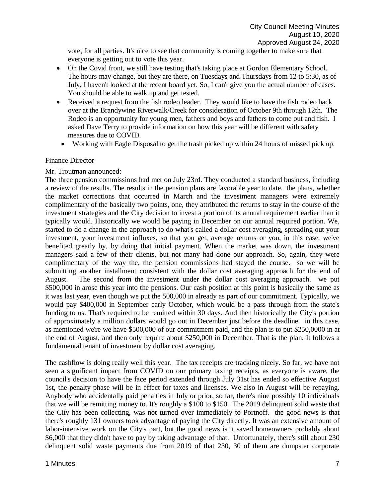vote, for all parties. It's nice to see that community is coming together to make sure that everyone is getting out to vote this year.

- On the Covid front, we still have testing that's taking place at Gordon Elementary School. The hours may change, but they are there, on Tuesdays and Thursdays from 12 to 5:30, as of July, I haven't looked at the recent board yet. So, I can't give you the actual number of cases. You should be able to walk up and get tested.
- Received a request from the fish rodeo leader. They would like to have the fish rodeo back over at the Brandywine Riverwalk/Creek for consideration of October 9th through 12th. The Rodeo is an opportunity for young men, fathers and boys and fathers to come out and fish. I asked Dave Terry to provide information on how this year will be different with safety measures due to COVID.
- Working with Eagle Disposal to get the trash picked up within 24 hours of missed pick up.

#### Finance Director

#### Mr. Troutman announced:

The three pension commissions had met on July 23rd. They conducted a standard business, including a review of the results. The results in the pension plans are favorable year to date. the plans, whether the market corrections that occurred in March and the investment managers were extremely complimentary of the basically two points, one, they attributed the returns to stay in the course of the investment strategies and the City decision to invest a portion of its annual requirement earlier than it typically would. Historically we would be paying in December on our annual required portion. We, started to do a change in the approach to do what's called a dollar cost averaging, spreading out your investment, your investment influxes, so that you get, average returns or you, in this case, we've benefited greatly by, by doing that initial payment. When the market was down, the investment managers said a few of their clients, but not many had done our approach. So, again, they were complimentary of the way the, the pension commissions had stayed the course. so we will be submitting another installment consistent with the dollar cost averaging approach for the end of August. The second from the investment under the dollar cost averaging approach. we put \$500,000 in arose this year into the pensions. Our cash position at this point is basically the same as it was last year, even though we put the 500,000 in already as part of our commitment. Typically, we would pay \$400,000 in September early October, which would be a pass through from the state's funding to us. That's required to be remitted within 30 days. And then historically the City's portion of approximately a million dollars would go out in December just before the deadline. in this case, as mentioned we're we have \$500,000 of our commitment paid, and the plan is to put \$250,0000 in at the end of August, and then only require about \$250,000 in December. That is the plan. It follows a fundamental tenant of investment by dollar cost averaging.

The cashflow is doing really well this year. The tax receipts are tracking nicely. So far, we have not seen a significant impact from COVID on our primary taxing receipts, as everyone is aware, the council's decision to have the face period extended through July 31st has ended so effective August 1st, the penalty phase will be in effect for taxes and licenses. We also in August will be repaying. Anybody who accidentally paid penalties in July or prior, so far, there's nine possibly 10 individuals that we will be remitting money to. It's roughly a \$100 to \$150. The 2019 delinquent solid waste that the City has been collecting, was not turned over immediately to Portnoff. the good news is that there's roughly 131 owners took advantage of paying the City directly. It was an extensive amount of labor-intensive work on the City's part, but the good news is it saved homeowners probably about \$6,000 that they didn't have to pay by taking advantage of that. Unfortunately, there's still about 230 delinquent solid waste payments due from 2019 of that 230, 30 of them are dumpster corporate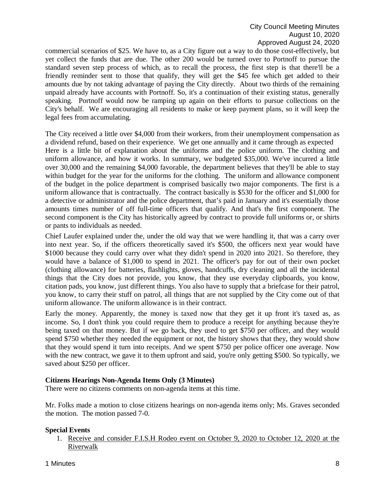commercial scenarios of \$25. We have to, as a City figure out a way to do those cost-effectively, but yet collect the funds that are due. The other 200 would be turned over to Portnoff to pursue the standard seven step process of which, as to recall the process, the first step is that there'll be a friendly reminder sent to those that qualify, they will get the \$45 fee which get added to their amounts due by not taking advantage of paying the City directly. About two thirds of the remaining unpaid already have accounts with Portnoff. So, it's a continuation of their existing status, generally speaking. Portnoff would now be ramping up again on their efforts to pursue collections on the City's behalf. We are encouraging all residents to make or keep payment plans, so it will keep the legal fees from accumulating.

The City received a little over \$4,000 from their workers, from their unemployment compensation as a dividend refund, based on their experience. We get one annually and it came through as expected Here is a little bit of explanation about the uniforms and the police uniform. The clothing and uniform allowance, and how it works. In summary, we budgeted \$35,000. We've incurred a little over 30,000 and the remaining \$4,000 favorable, the department believes that they'll be able to stay within budget for the year for the uniforms for the clothing. The uniform and allowance component of the budget in the police department is comprised basically two major components. The first is a uniform allowance that is contractually. The contract basically is \$530 for the officer and \$1,000 for a detective or administrator and the police department, that's paid in January and it's essentially those amounts times number of off full-time officers that qualify. And that's the first component. The second component is the City has historically agreed by contract to provide full uniforms or, or shirts or pants to individuals as needed.

Chief Laufer explained under the, under the old way that we were handling it, that was a carry over into next year. So, if the officers theoretically saved it's \$500, the officers next year would have \$1000 because they could carry over what they didn't spend in 2020 into 2021. So therefore, they would have a balance of \$1,000 to spend in 2021. The officer's pay for out of their own pocket (clothing allowance) for batteries, flashlights, gloves, handcuffs, dry cleaning and all the incidental things that the City does not provide, you know, that they use everyday clipboards, you know, citation pads, you know, just different things. You also have to supply that a briefcase for their patrol, you know, to carry their stuff on patrol, all things that are not supplied by the City come out of that uniform allowance. The uniform allowance is in their contract.

Early the money. Apparently, the money is taxed now that they get it up front it's taxed as, as income. So, I don't think you could require them to produce a receipt for anything because they're being taxed on that money. But if we go back, they used to get \$750 per officer, and they would spend \$750 whether they needed the equipment or not, the history shows that they, they would show that they would spend it turn into receipts. And we spent \$750 per police officer one average. Now with the new contract, we gave it to them upfront and said, you're only getting \$500. So typically, we saved about \$250 per officer.

## **Citizens Hearings Non-Agenda Items Only (3 Minutes)**

There were no citizens comments on non-agenda items at this time.

Mr. Folks made a motion to close citizens hearings on non-agenda items only; Ms. Graves seconded the motion. The motion passed 7-0.

## **Special Events**

1. Receive and consider F.I.S.H Rodeo event on October 9, 2020 to October 12, 2020 at the Riverwalk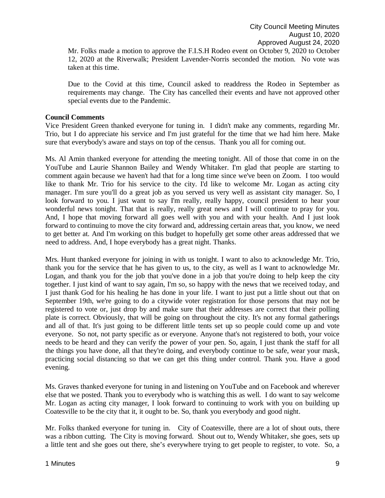Mr. Folks made a motion to approve the F.I.S.H Rodeo event on October 9, 2020 to October 12, 2020 at the Riverwalk; President Lavender-Norris seconded the motion. No vote was taken at this time.

Due to the Covid at this time, Council asked to readdress the Rodeo in September as requirements may change. The City has cancelled their events and have not approved other special events due to the Pandemic.

#### **Council Comments**

Vice President Green thanked everyone for tuning in. I didn't make any comments, regarding Mr. Trio, but I do appreciate his service and I'm just grateful for the time that we had him here. Make sure that everybody's aware and stays on top of the census. Thank you all for coming out.

Ms. Al Amin thanked everyone for attending the meeting tonight. All of those that come in on the YouTube and Laurie Shannon Bailey and Wendy Whitaker. I'm glad that people are starting to comment again because we haven't had that for a long time since we've been on Zoom. I too would like to thank Mr. Trio for his service to the city. I'd like to welcome Mr. Logan as acting city manager. I'm sure you'll do a great job as you served us very well as assistant city manager. So, I look forward to you. I just want to say I'm really, really happy, council president to hear your wonderful news tonight. That that is really, really great news and I will continue to pray for you. And, I hope that moving forward all goes well with you and with your health. And I just look forward to continuing to move the city forward and, addressing certain areas that, you know, we need to get better at. And I'm working on this budget to hopefully get some other areas addressed that we need to address. And, I hope everybody has a great night. Thanks.

Mrs. Hunt thanked everyone for joining in with us tonight. I want to also to acknowledge Mr. Trio, thank you for the service that he has given to us, to the city, as well as I want to acknowledge Mr. Logan, and thank you for the job that you've done in a job that you're doing to help keep the city together. I just kind of want to say again, I'm so, so happy with the news that we received today, and I just thank God for his healing he has done in your life. I want to just put a little shout out that on September 19th, we're going to do a citywide voter registration for those persons that may not be registered to vote or, just drop by and make sure that their addresses are correct that their polling plate is correct. Obviously, that will be going on throughout the city. It's not any formal gatherings and all of that. It's just going to be different little tents set up so people could come up and vote everyone. So not, not party specific as or everyone. Anyone that's not registered to both, your voice needs to be heard and they can verify the power of your pen. So, again, I just thank the staff for all the things you have done, all that they're doing, and everybody continue to be safe, wear your mask, practicing social distancing so that we can get this thing under control. Thank you. Have a good evening.

Ms. Graves thanked everyone for tuning in and listening on YouTube and on Facebook and wherever else that we posted. Thank you to everybody who is watching this as well. I do want to say welcome Mr. Logan as acting city manager, I look forward to continuing to work with you on building up Coatesville to be the city that it, it ought to be. So, thank you everybody and good night.

Mr. Folks thanked everyone for tuning in. City of Coatesville, there are a lot of shout outs, there was a ribbon cutting. The City is moving forward. Shout out to, Wendy Whitaker, she goes, sets up a little tent and she goes out there, she's everywhere trying to get people to register, to vote. So, a